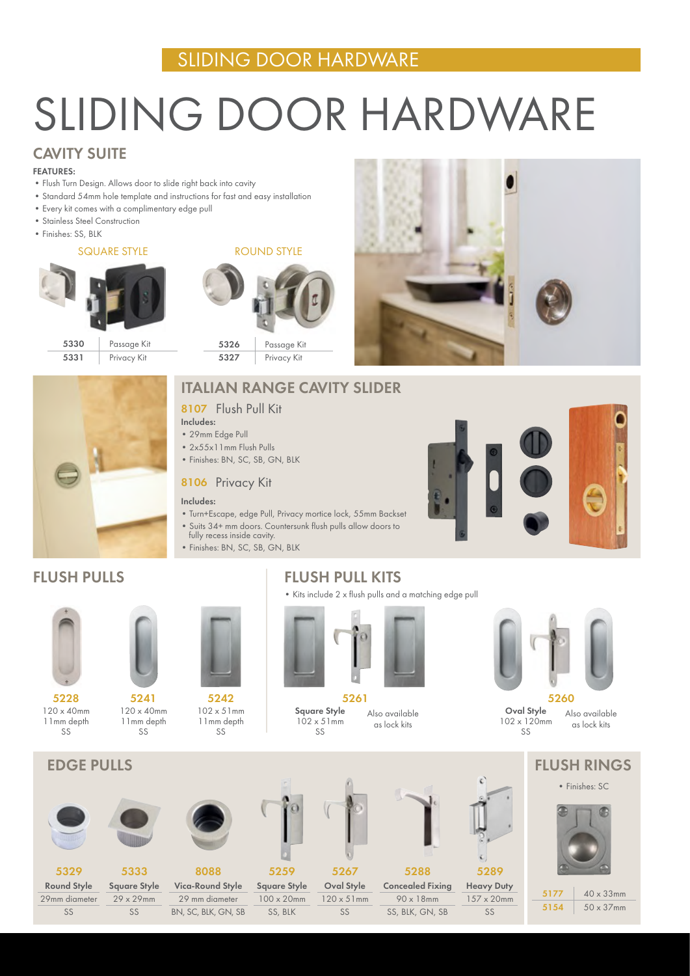## SLIDING DOOR HARDWARE

# SLIDING DOOR HARDWARE

## CAVITY SUITE

#### FEATURES:

- Flush Turn Design. Allows door to slide right back into cavity
- Standard 54mm hole template and instructions for fast and easy installation
- Every kit comes with a complimentary edge pull
- Stainless Steel Construction
- Finishes: SS, BLK

#### SQUARE STYLE



ROUND STYLE



## ITALIAN RANGE CAVITY SLIDER

### 8107 Flush Pull Kit

### Includes:

- 29mm Edge Pull
- 2x55x11mm Flush Pulls
- Finishes: BN, SC, SB, GN, BLK

### 8106 Privacy Kit

#### Includes:

- Turn+Escape, edge Pull, Privacy mortice lock, 55mm Backset
- Suits 34+ mm doors. Countersunk flush pulls allow doors to fully recess inside cavity.
- Finishes: BN, SC, SB, GN, BLK





## FLUSH PULLS





120 x 40mm 11mm depth  $S$ 5241



 $S$ 



5329 Round Style

29mm diameter SS



29 x 29mm SS



Vica-Round Style 29 mm diameter BN, SC, BLK, GN, SB



5267 Oval Style 120 x 51mm SS 5259 Square Style 100 x 20mm SS, BLK



as lock kits

5288 Concealed Fixing 90 x 18mm SS, BLK, GN, SB



5289 Heavy Duty 157 x 20mm



EDGE PULLS FLUSH RINGS

• Finishes: SC



5177 40 x 33mm 5154 50 x 37mm



Square Style  $102 \times 51$  mm  $S$ 5261 Also available



5260

Oval Style 102 x 120mm  $S$ Also available as lock kits